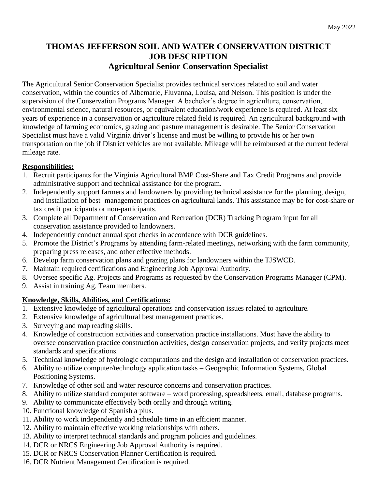## **THOMAS JEFFERSON SOIL AND WATER CONSERVATION DISTRICT JOB DESCRIPTION Agricultural Senior Conservation Specialist**

The Agricultural Senior Conservation Specialist provides technical services related to soil and water conservation, within the counties of Albemarle, Fluvanna, Louisa, and Nelson. This position is under the supervision of the Conservation Programs Manager. A bachelor's degree in agriculture, conservation, environmental science, natural resources, or equivalent education/work experience is required. At least six years of experience in a conservation or agriculture related field is required. An agricultural background with knowledge of farming economics, grazing and pasture management is desirable. The Senior Conservation Specialist must have a valid Virginia driver's license and must be willing to provide his or her own transportation on the job if District vehicles are not available. Mileage will be reimbursed at the current federal mileage rate.

## **Responsibilities:**

- 1. Recruit participants for the Virginia Agricultural BMP Cost-Share and Tax Credit Programs and provide administrative support and technical assistance for the program.
- 2. Independently support farmers and landowners by providing technical assistance for the planning, design, and installation of best management practices on agricultural lands. This assistance may be for cost-share or tax credit participants or non-participants.
- 3. Complete all Department of Conservation and Recreation (DCR) Tracking Program input for all conservation assistance provided to landowners.
- 4. Independently conduct annual spot checks in accordance with DCR guidelines.
- 5. Promote the District's Programs by attending farm-related meetings, networking with the farm community, preparing press releases, and other effective methods.
- 6. Develop farm conservation plans and grazing plans for landowners within the TJSWCD.
- 7. Maintain required certifications and Engineering Job Approval Authority.
- 8. Oversee specific Ag. Projects and Programs as requested by the Conservation Programs Manager (CPM).
- 9. Assist in training Ag. Team members.

## **Knowledge, Skills, Abilities, and Certifications:**

- 1. Extensive knowledge of agricultural operations and conservation issues related to agriculture.
- 2. Extensive knowledge of agricultural best management practices.
- 3. Surveying and map reading skills.
- 4. Knowledge of construction activities and conservation practice installations. Must have the ability to oversee conservation practice construction activities, design conservation projects, and verify projects meet standards and specifications.
- 5. Technical knowledge of hydrologic computations and the design and installation of conservation practices.
- 6. Ability to utilize computer/technology application tasks Geographic Information Systems, Global Positioning Systems.
- 7. Knowledge of other soil and water resource concerns and conservation practices.
- 8. Ability to utilize standard computer software word processing, spreadsheets, email, database programs.
- 9. Ability to communicate effectively both orally and through writing.
- 10. Functional knowledge of Spanish a plus.
- 11. Ability to work independently and schedule time in an efficient manner.
- 12. Ability to maintain effective working relationships with others.
- 13. Ability to interpret technical standards and program policies and guidelines.
- 14. DCR or NRCS Engineering Job Approval Authority is required.
- 15. DCR or NRCS Conservation Planner Certification is required.
- 16. DCR Nutrient Management Certification is required.